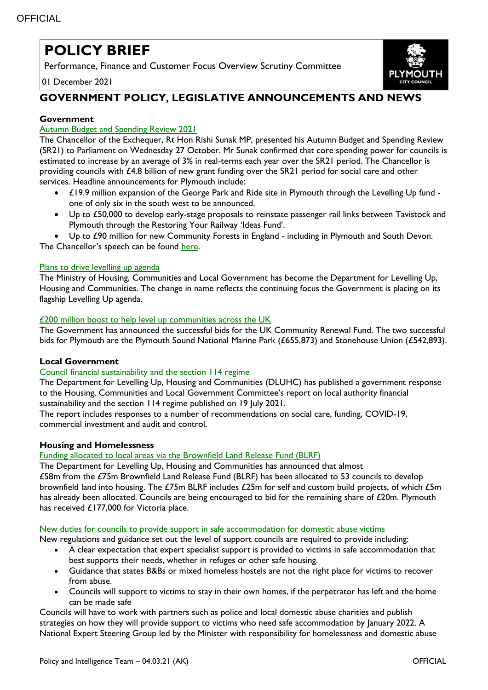# **POLICY BRIEF**

Performance, Finance and Customer Focus Overview Scrutiny Committee

01 December 2021



# **GOVERNMENT POLICY, LEGISLATIVE ANNOUNCEMENTS AND NEWS**

# **Government**

# [Autumn Budget and Spending Review 2021](https://www.gov.uk/government/publications/autumn-budget-and-spending-review-2021-documents)

The Chancellor of the Exchequer, Rt Hon Rishi Sunak MP, presented his Autumn Budget and Spending Review (SR21) to Parliament on Wednesday 27 October. Mr Sunak confirmed that core spending power for councils is estimated to increase by an average of 3% in real-terms each year over the SR21 period. The Chancellor is providing councils with £4.8 billion of new grant funding over the SR21 period for social care and other services. Headline announcements for Plymouth include:

- £19.9 million expansion of the George Park and Ride site in Plymouth through the Levelling Up fund one of only six in the south west to be announced.
- Up to £50,000 to develop early-stage proposals to reinstate passenger rail links between Tavistock and Plymouth through the Restoring Your Railway 'Ideas Fund'.
- Up to £90 million for new Community Forests in England including in Plymouth and South Devon. The Chancellor's speech can be found [here.](https://www.gov.uk/government/speeches/autumn-budget-and-spending-review-2021-speech)

# [Plans to drive levelling up agenda](https://www.gov.uk/government/news/ambitious-plans-to-drive-levelling-up-agenda)

The Ministry of Housing, Communities and Local Government has become the Department for Levelling Up, Housing and Communities. The change in name reflects the continuing focus the Government is placing on its flagship Levelling Up agenda.

#### [£200 million boost to help level up communities across the UK](https://www.gov.uk/government/news/200-million-boost-to-help-level-up-communities-across-the-uk)

The Government has announced the successful bids for the UK Community Renewal Fund. The two successful bids for Plymouth are the Plymouth Sound National Marine Park (£655,873) and Stonehouse Union (£542,893).

# **Local Government**

# [Council financial sustainability and the section 114 regime](https://www.gov.uk/government/publications/local-authority-financial-sustainability-and-the-section-114-regime)

The Department for Levelling Up, Housing and Communities (DLUHC) has published a government response to the Housing, Communities and Local Government Committee's report on local authority financial sustainability and the section 114 regime published on 19 July 2021.

The report includes responses to a number of recommendations on social care, funding, COVID-19, commercial investment and audit and control.

# **Housing and Homelessness**

Funding allocated to local areas [via the Brownfield Land Release Fund \(BLRF\)](https://www.gov.uk/government/news/thousands-of-new-homes-to-be-built-and-derelict-land-transformed)

The Department for Levelling Up, Housing and Communities has announced that almost £58m from the £75m Brownfield Land Release Fund (BLRF) has been allocated to 53 councils to develop brownfield land into housing. The £75m BLRF includes £25m for self and custom build projects, of which £5m has already been allocated. Councils are being encouraged to bid for the remaining share of £20m. Plymouth has received £177,000 for Victoria place.

#### New duties [for councils to provide support in safe accommodation for domestic abuse victims](https://www.gov.uk/government/news/new-duties-for-councils-to-provide-support-in-safe-accommodation-for-domestic-abuse-victims)

New regulations and guidance set out the level of support councils are required to provide including:

- A clear expectation that expert specialist support is provided to victims in safe accommodation that best supports their needs, whether in refuges or other safe housing.
- Guidance that states B&Bs or mixed homeless hostels are not the right place for victims to recover from abuse.
- Councils will support to victims to stay in their own homes, if the perpetrator has left and the home can be made safe

Councils will have to work with partners such as police and local domestic abuse charities and publish strategies on how they will provide support to victims who need safe accommodation by January 2022. A National Expert Steering Group led by the Minister with responsibility for homelessness and domestic abuse